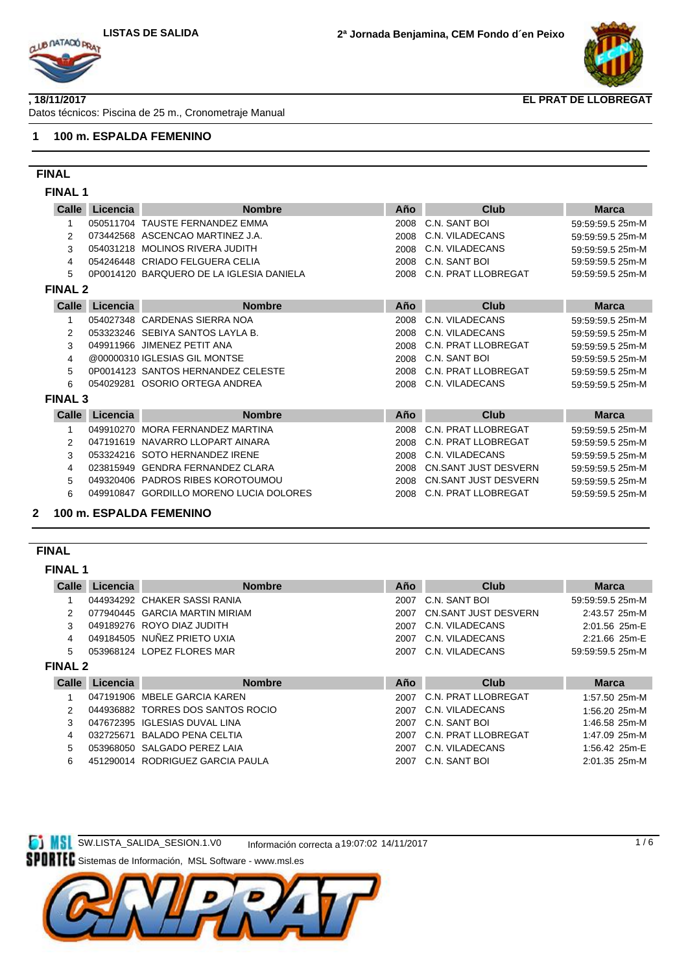

#### **, 18/11/2017**

Datos técnicos: Piscina de 25 m., Cronometraje Manual

#### **1 100 m. ESPALDA FEMENINO**

## **FINAL**

**FINAL 1**

| Calle          | Licencia  | <b>Nombre</b>                            | Año  | <b>Club</b>                | <b>Marca</b>     |
|----------------|-----------|------------------------------------------|------|----------------------------|------------------|
|                |           | 050511704 TAUSTE FERNANDEZ EMMA          | 2008 | C.N. SANT BOI              | 59:59:59.5 25m-M |
| 2              |           | 073442568 ASCENCAO MARTINEZ J.A.         | 2008 | C.N. VILADECANS            | 59:59:59.5 25m-M |
| 3              |           | 054031218 MOLINOS RIVERA JUDITH          | 2008 | C.N. VILADECANS            | 59:59:59.5 25m-M |
| 4              |           | 054246448 CRIADO FELGUERA CELIA          | 2008 | C.N. SANT BOI              | 59:59:59.5 25m-M |
| 5              |           | 0P0014120 BARQUERO DE LA IGLESIA DANIELA | 2008 | C.N. PRAT LLOBREGAT        | 59:59:59.5 25m-M |
| <b>FINAL 2</b> |           |                                          |      |                            |                  |
| Calle          | Licencia  | <b>Nombre</b>                            | Año  | <b>Club</b>                | <b>Marca</b>     |
|                |           | 054027348 CARDENAS SIERRA NOA            | 2008 | C.N. VILADECANS            | 59:59:59.5 25m-M |
| 2              |           | 053323246 SEBIYA SANTOS LAYLA B.         | 2008 | C.N. VILADECANS            | 59:59:59.5 25m-M |
| 3              |           | 049911966 JIMENEZ PETIT ANA              | 2008 | C.N. PRAT LLOBREGAT        | 59:59:59.5 25m-M |
| 4              |           | @00000310 IGLESIAS GIL MONTSE            | 2008 | C.N. SANT BOI              | 59:59:59.5 25m-M |
| 5              |           | 0P0014123 SANTOS HERNANDEZ CELESTE       | 2008 | C.N. PRAT LLOBREGAT        | 59:59:59.5 25m-M |
| 6              |           | 054029281 OSORIO ORTEGA ANDREA           | 2008 | C.N. VILADECANS            | 59:59:59.5 25m-M |
| <b>FINAL 3</b> |           |                                          |      |                            |                  |
| Calle          | Licencia  | <b>Nombre</b>                            | Año  | <b>Club</b>                | <b>Marca</b>     |
|                |           | 049910270 MORA FERNANDEZ MARTINA         | 2008 | <b>C.N. PRAT LLOBREGAT</b> | 59:59:59.5 25m-M |
| 2              |           | 047191619 NAVARRO LLOPART AINARA         | 2008 | C.N. PRAT LLOBREGAT        | 59:59:59.5 25m-M |
| 3              |           | 053324216 SOTO HERNANDEZ IRENE           | 2008 | C.N. VILADECANS            | 59:59:59.5 25m-M |
| 4              | 023815949 | <b>GENDRA FERNANDEZ CLARA</b>            | 2008 | CN.SANT JUST DESVERN       | 59:59:59.5 25m-M |
| 5              |           | 049320406 PADROS RIBES KOROTOUMOU        | 2008 | CN.SANT JUST DESVERN       | 59:59:59.5 25m-M |
| 6              |           | 049910847 GORDILLO MORENO LUCIA DOLORES  | 2008 | C.N. PRAT LLOBREGAT        | 59:59:59.5 25m-M |
|                |           | 100 m ESDAI DA EEMENINO                  |      |                            |                  |

## **2 100 m. ESPALDA FEMENINO**

## **FINAL**

**FINAL 1**

| Club<br><b>Marca</b>                        |
|---------------------------------------------|
| C.N. SANT BOI<br>59:59:59.5 25m-M           |
| CN.SANT JUST DESVERN<br>2:43.57 25m-M       |
| C.N. VILADECANS<br>2:01.56 25m-E            |
| C.N. VILADECANS<br>2:21.66 25m-E            |
| C.N. VILADECANS<br>59:59:59.5 25m-M         |
|                                             |
| <b>Marca</b><br>Club                        |
|                                             |
| C.N. PRAT LLOBREGAT<br>1:57.50 25m-M        |
| C.N. VILADECANS<br>1:56.20 25m-M            |
| C.N. SANT BOI<br>1:46.58 25m-M              |
| <b>C.N. PRAT LLOBREGAT</b><br>1:47.09 25m-M |
| C.N. VILADECANS<br>1:56.42 25m-E            |
|                                             |

**SW.LISTA\_SALIDA\_SESION.1.V0** Información correcta a19:07:02 14/11/2017

Sistemas de Información, MSL Software - www.msl.es

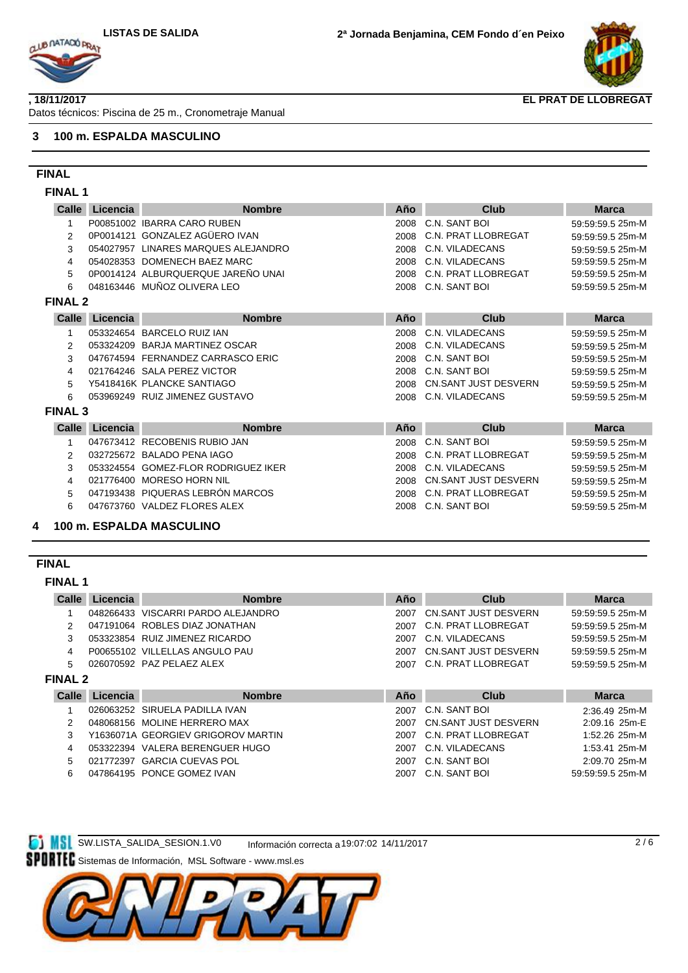

#### **, 18/11/2017**

Datos técnicos: Piscina de 25 m., Cronometraje Manual

### **3 100 m. ESPALDA MASCULINO**

## **FINAL**

**FINAL 1**

| Calle<br>Licencia        | <b>Nombre</b>                    | Año                                                                                                                                                                                                                                                                                                                                                                                                                                                                                                                                    | Club                        | <b>Marca</b>     |
|--------------------------|----------------------------------|----------------------------------------------------------------------------------------------------------------------------------------------------------------------------------------------------------------------------------------------------------------------------------------------------------------------------------------------------------------------------------------------------------------------------------------------------------------------------------------------------------------------------------------|-----------------------------|------------------|
|                          |                                  | 2008                                                                                                                                                                                                                                                                                                                                                                                                                                                                                                                                   | C.N. SANT BOI               | 59:59:59.5 25m-M |
|                          |                                  | 2008                                                                                                                                                                                                                                                                                                                                                                                                                                                                                                                                   | C.N. PRAT LLOBREGAT         | 59:59:59.5 25m-M |
| 054027957                |                                  | 2008                                                                                                                                                                                                                                                                                                                                                                                                                                                                                                                                   | C.N. VILADECANS             | 59:59:59.5 25m-M |
|                          |                                  | 2008                                                                                                                                                                                                                                                                                                                                                                                                                                                                                                                                   | C.N. VILADECANS             | 59:59:59.5 25m-M |
|                          |                                  | 2008                                                                                                                                                                                                                                                                                                                                                                                                                                                                                                                                   | C.N. PRAT LLOBREGAT         | 59:59:59.5 25m-M |
|                          |                                  | 2008                                                                                                                                                                                                                                                                                                                                                                                                                                                                                                                                   | C.N. SANT BOI               | 59:59:59.5 25m-M |
| <b>FINAL 2</b>           |                                  |                                                                                                                                                                                                                                                                                                                                                                                                                                                                                                                                        |                             |                  |
| <b>Calle</b><br>Licencia | <b>Nombre</b>                    | Año                                                                                                                                                                                                                                                                                                                                                                                                                                                                                                                                    | Club                        | <b>Marca</b>     |
|                          |                                  | 2008                                                                                                                                                                                                                                                                                                                                                                                                                                                                                                                                   | C.N. VILADECANS             | 59:59:59.5 25m-M |
|                          |                                  | 2008                                                                                                                                                                                                                                                                                                                                                                                                                                                                                                                                   | C.N. VILADECANS             | 59:59:59.5 25m-M |
|                          |                                  | 2008                                                                                                                                                                                                                                                                                                                                                                                                                                                                                                                                   | C.N. SANT BOI               | 59:59:59.5 25m-M |
|                          |                                  | 2008                                                                                                                                                                                                                                                                                                                                                                                                                                                                                                                                   | C.N. SANT BOI               | 59:59:59.5 25m-M |
|                          |                                  | 2008                                                                                                                                                                                                                                                                                                                                                                                                                                                                                                                                   | <b>CN.SANT JUST DESVERN</b> | 59:59:59.5 25m-M |
|                          |                                  | 2008                                                                                                                                                                                                                                                                                                                                                                                                                                                                                                                                   | C.N. VILADECANS             | 59:59:59.5 25m-M |
| <b>FINAL 3</b>           |                                  |                                                                                                                                                                                                                                                                                                                                                                                                                                                                                                                                        |                             |                  |
| Calle<br>Licencia        | <b>Nombre</b>                    | Año                                                                                                                                                                                                                                                                                                                                                                                                                                                                                                                                    | Club                        | <b>Marca</b>     |
|                          |                                  | 2008                                                                                                                                                                                                                                                                                                                                                                                                                                                                                                                                   | C.N. SANT BOI               | 59:59:59.5 25m-M |
|                          |                                  | 2008                                                                                                                                                                                                                                                                                                                                                                                                                                                                                                                                   | C.N. PRAT LLOBREGAT         | 59:59:59.5 25m-M |
|                          |                                  | 2008                                                                                                                                                                                                                                                                                                                                                                                                                                                                                                                                   | C.N. VILADECANS             | 59:59:59.5 25m-M |
|                          |                                  | 2008                                                                                                                                                                                                                                                                                                                                                                                                                                                                                                                                   | <b>CN.SANT JUST DESVERN</b> | 59:59:59.5 25m-M |
|                          |                                  | 2008                                                                                                                                                                                                                                                                                                                                                                                                                                                                                                                                   | C.N. PRAT LLOBREGAT         | 59:59:59.5 25m-M |
|                          | 047193438 PIQUERAS LEBRÓN MARCOS |                                                                                                                                                                                                                                                                                                                                                                                                                                                                                                                                        |                             |                  |
|                          |                                  | P00851002 IBARRA CARO RUBEN<br>0P0014121 GONZALEZ AGÜERO IVAN<br>LINARES MARQUES ALEJANDRO<br>054028353 DOMENECH BAEZ MARC<br>0P0014124 ALBURQUERQUE JAREÑO UNAI<br>048163446 MUÑOZ OLIVERA LEO<br>053324654 BARCELO RUIZ IAN<br>053324209 BARJA MARTINEZ OSCAR<br>047674594 FERNANDEZ CARRASCO ERIC<br>021764246 SALA PEREZ VICTOR<br>Y5418416K PLANCKE SANTIAGO<br>053969249 RUIZ JIMENEZ GUSTAVO<br>047673412 RECOBENIS RUBIO JAN<br>032725672 BALADO PENA IAGO<br>053324554 GOMEZ-FLOR RODRIGUEZ IKER<br>021776400 MORESO HORN NIL |                             |                  |

#### **FINAL**

#### **FINAL 1**

| Calle          | Licencia | <b>Nombre</b>                      | Año  | Club                     | <b>Marca</b>     |
|----------------|----------|------------------------------------|------|--------------------------|------------------|
|                |          | 048266433 VISCARRI PARDO ALEJANDRO | 2007 | CN.SANT JUST DESVERN     | 59:59:59.5 25m-M |
| 2              |          | 047191064 ROBLES DIAZ JONATHAN     |      | 2007 C.N. PRAT LLOBREGAT | 59:59:59.5 25m-M |
| 3              |          | 053323854 RUIZ JIMENEZ RICARDO     |      | 2007 C.N. VILADECANS     | 59:59:59.5 25m-M |
| 4              |          | P00655102 VILLELLAS ANGULO PAU     | 2007 | CN.SANT JUST DESVERN     | 59:59:59.5 25m-M |
| 5              |          | 026070592 PAZ PELAEZ ALEX          |      | 2007 C.N. PRAT LLOBREGAT | 59:59:59.5 25m-M |
| <b>FINAL 2</b> |          |                                    |      |                          |                  |
|                |          |                                    |      |                          |                  |
| Calle          | Licencia | <b>Nombre</b>                      | Año  | Club                     | <b>Marca</b>     |
|                |          | 026063252 SIRUELA PADILLA IVAN     | 2007 | C.N. SANT BOI            | 2:36.49 25m-M    |
| 2              |          | 048068156 MOLINE HERRERO MAX       | 2007 | CN.SANT JUST DESVERN     | 2:09.16 25m-E    |
| 3              |          | Y1636071A GEORGIEV GRIGOROV MARTIN | 2007 | C.N. PRAT LLOBREGAT      | 1:52.26 25m-M    |
| 4              |          | 053322394 VALERA BERENGUER HUGO    |      | 2007 C.N. VILADECANS     | $1:53.41$ 25m-M  |
| 5              |          | 021772397 GARCIA CUEVAS POL        |      | 2007 C.N. SANT BOL       | 2:09.70 25m-M    |

6 047864195 PONCE GOMEZ IVAN 2007 C.N. SANT BOI 59:59:59.5 25m-M



**SW.LISTA\_SALIDA\_SESION.1.VO** Información correcta a19:07:02 14/11/2017

Sistemas de Información, MSL Software - www.msl.es

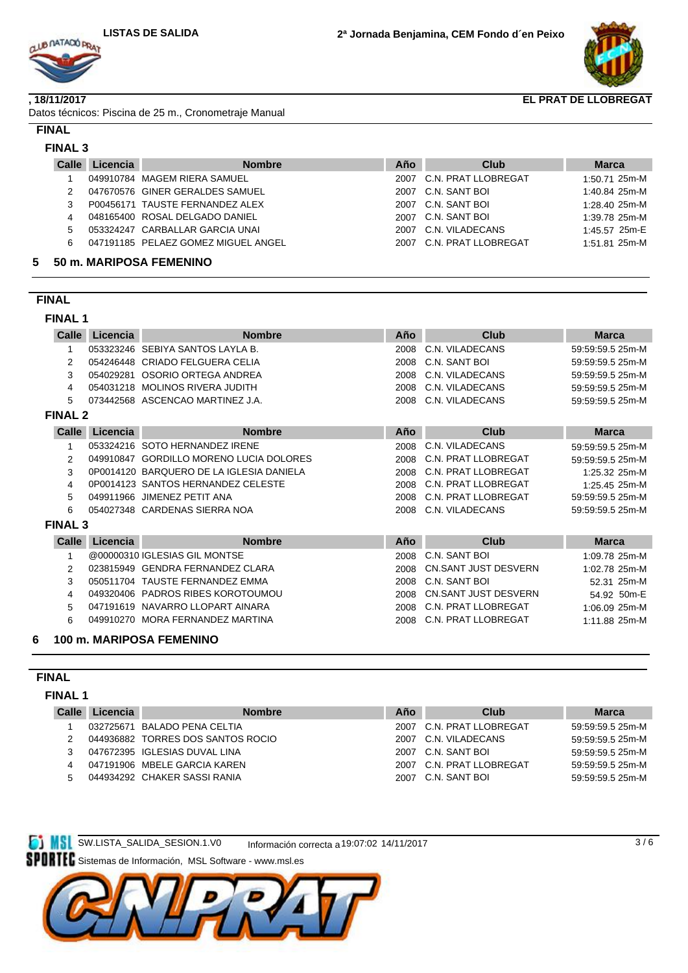

#### **, 18/11/2017**

Datos técnicos: Piscina de 25 m., Cronometraje Manual

#### **FINAL**

### **Calle Nombre Club Marca Licencia Año FINAL 3** 1 049910784 MAGEM RIERA SAMUEL 2007 C.N. PRAT LLOBREGAT 1:50.71 25m-M 2 047670576 GINER GERALDES SAMUEL 2007 C.N. SANT BOI 1:40.84 25m-M 3 P00456171 TAUSTE FERNANDEZ ALEX 2007 C.N. SANT BOI 1:28.40 25m-M 4 048165400 ROSAL DELGADO DANIEL 2007 C.N. SANT BOI 1:39.78 25m-M 5 053324247 CARBALLAR GARCIA UNAI 2007 C.N. VILADECANS 1:45.57 25m-E 6 047191185 PELAEZ GOMEZ MIGUEL ANGEL 2007 C.N. PRAT LLOBREGAT 1:51.81 25m-M

#### **5 50 m. MARIPOSA FEMENINO**

## **FINAL**

## **FINAL 1**

| Calle          | Licencia  | <b>Nombre</b>                            | Año  | Club                        | <b>Marca</b>     |
|----------------|-----------|------------------------------------------|------|-----------------------------|------------------|
|                |           | 053323246 SEBIYA SANTOS LAYLA B.         | 2008 | C.N. VILADECANS             | 59:59:59.5 25m-M |
| 2              |           | 054246448 CRIADO FELGUERA CELIA          | 2008 | C.N. SANT BOI               | 59:59:59.5 25m-M |
| 3              |           | 054029281 OSORIO ORTEGA ANDREA           | 2008 | C.N. VILADECANS             | 59:59:59.5 25m-M |
| 4              |           | 054031218 MOLINOS RIVERA JUDITH          | 2008 | C.N. VILADECANS             | 59:59:59.5 25m-M |
| 5              |           | 073442568 ASCENCAO MARTINEZ J.A.         | 2008 | C.N. VILADECANS             | 59:59:59.5 25m-M |
| <b>FINAL 2</b> |           |                                          |      |                             |                  |
| <b>Calle</b>   | Licencia  | <b>Nombre</b>                            | Año  | <b>Club</b>                 | <b>Marca</b>     |
|                |           | 053324216 SOTO HERNANDEZ IRENE           | 2008 | C.N. VILADECANS             | 59:59:59.5 25m-M |
| 2              | 049910847 | <b>GORDILLO MORENO LUCIA DOLORES</b>     | 2008 | C.N. PRAT LLOBREGAT         | 59:59:59.5 25m-M |
| 3              |           | 0P0014120 BARQUERO DE LA IGLESIA DANIELA | 2008 | C.N. PRAT LLOBREGAT         | 1:25.32 25m-M    |
| 4              |           | 0P0014123 SANTOS HERNANDEZ CELESTE       | 2008 | C.N. PRAT LLOBREGAT         | 1:25.45 25m-M    |
| 5              |           | 049911966 JIMENEZ PETIT ANA              | 2008 | C.N. PRAT LLOBREGAT         | 59:59:59.5 25m-M |
| 6              |           | 054027348 CARDENAS SIERRA NOA            | 2008 | C.N. VILADECANS             | 59:59:59.5 25m-M |
| <b>FINAL 3</b> |           |                                          |      |                             |                  |
| Calle          | Licencia  | <b>Nombre</b>                            | Año  | Club                        | <b>Marca</b>     |
|                |           | @00000310 IGLESIAS GIL MONTSE            | 2008 | C.N. SANT BOI               | 1:09.78 25m-M    |
| 2              | 023815949 | <b>GENDRA FERNANDEZ CLARA</b>            | 2008 | CN.SANT JUST DESVERN        | 1:02.78 25m-M    |
| 3              | 050511704 | TAUSTE FERNANDEZ EMMA                    | 2008 | C.N. SANT BOI               | 52.31 25m-M      |
| 4              |           | 049320406 PADROS RIBES KOROTOUMOU        | 2008 | <b>CN.SANT JUST DESVERN</b> | 54.92 50m-E      |
| 5              |           | 047191619 NAVARRO LLOPART AINARA         | 2008 | C.N. PRAT LLOBREGAT         | 1:06.09 25m-M    |
| 6              |           | 049910270 MORA FERNANDEZ MARTINA         | 2008 | C.N. PRAT LLOBREGAT         | 1:11.88 25m-M    |
|                |           |                                          |      |                             |                  |

#### **6 100 m. MARIPOSA FEMENINO**

## **FINAL**

#### **FINAL 1**

| Licencia | <b>Nombre</b> | Año                                                                                                                                                                | Club | <b>Marca</b>                                                                                    |
|----------|---------------|--------------------------------------------------------------------------------------------------------------------------------------------------------------------|------|-------------------------------------------------------------------------------------------------|
|          |               | 2007                                                                                                                                                               |      | 59:59:59.5 25m-M                                                                                |
|          |               | 2007                                                                                                                                                               |      | 59:59:59.5 25m-M                                                                                |
|          |               | 2007                                                                                                                                                               |      | 59:59:59.5 25m-M                                                                                |
|          |               | 2007                                                                                                                                                               |      | 59:59:59.5 25m-M                                                                                |
|          |               | 2007                                                                                                                                                               |      | 59:59:59.5 25m-M                                                                                |
|          | Calle         | 032725671 BALADO PENA CELTIA<br>044936882 TORRES DOS SANTOS ROCIO<br>047672395 IGLESIAS DUVAL LINA<br>047191906 MBELE GARCIA KAREN<br>044934292 CHAKER SASSI RANIA |      | C.N. PRAT LLOBREGAT<br>C.N. VILADECANS<br>C.N. SANT BOI<br>C.N. PRAT LLOBREGAT<br>C.N. SANT BOI |

**ET MSL SW.LISTA\_SALIDA\_SESION.1.V0** Información correcta a19:07:02 14/11/2017

Sistemas de Información, MSL Software - www.msl.es

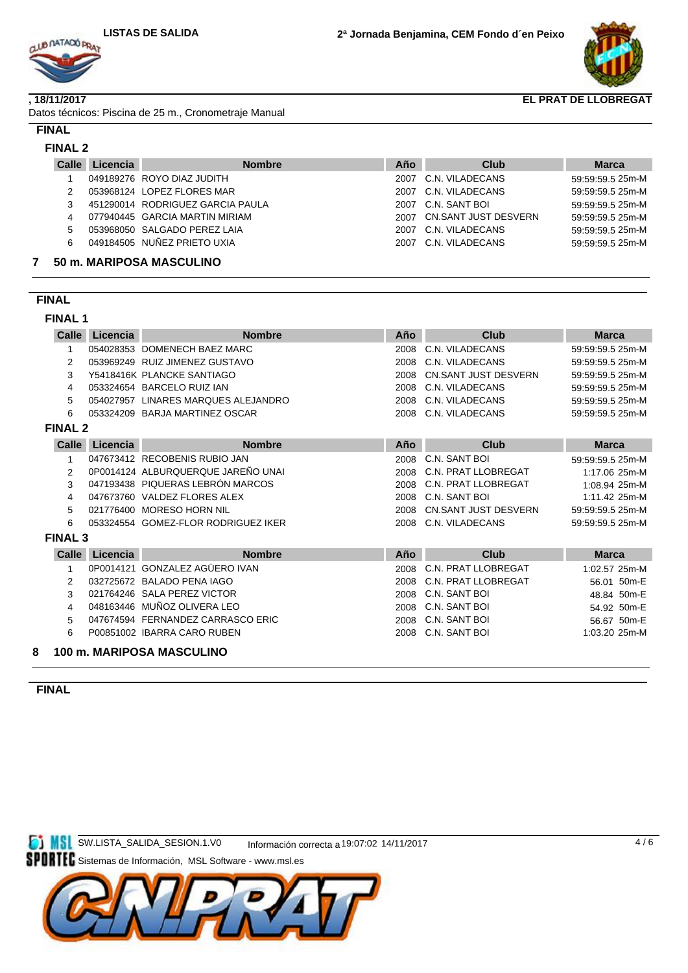

#### **, 18/11/2017**

Datos técnicos: Piscina de 25 m., Cronometraje Manual

#### **FINAL**

# **FINAL 2**

| <b>Calle</b> | Licencia | <b>Nombre</b>                    | Año  | Club                 | <b>Marca</b>     |
|--------------|----------|----------------------------------|------|----------------------|------------------|
|              |          | 049189276 ROYO DIAZ JUDITH       | 2007 | C.N. VILADECANS      | 59:59:59.5 25m-M |
| 2            |          | 053968124 LOPEZ FLORES MAR       | 2007 | C.N. VILADECANS      | 59:59:59.5 25m-M |
|              |          | 451290014 RODRIGUEZ GARCIA PAULA |      | 2007 C.N. SANT BOL   | 59:59:59.5 25m-M |
| 4            |          | 077940445 GARCIA MARTIN MIRIAM   | 2007 | CN.SANT JUST DESVERN | 59:59:59.5 25m-M |
| 5            |          | 053968050 SALGADO PEREZ LAIA     | 2007 | C.N. VILADECANS      | 59:59:59.5 25m-M |
| 6            |          | 049184505 NUÑEZ PRIETO UXIA      | 2007 | C.N. VILADECANS      | 59:59:59.5 25m-M |
|              |          | <b>EQ 44 MADIDOOA MACQUU INQ</b> |      |                      |                  |

## **7 50 m. MARIPOSA MASCULINO**

# **FINAL**

## **FINAL 1**

| Calle          | Licencia       | <b>Nombre</b>                       | Año  | Club                        | <b>Marca</b>     |
|----------------|----------------|-------------------------------------|------|-----------------------------|------------------|
| 1              |                | 054028353 DOMENECH BAEZ MARC        | 2008 | C.N. VILADECANS             | 59:59:59.5 25m-M |
| 2              |                | 053969249 RUIZ JIMENEZ GUSTAVO      | 2008 | C.N. VILADECANS             | 59:59:59.5 25m-M |
| 3              |                | Y5418416K PLANCKE SANTIAGO          | 2008 | <b>CN.SANT JUST DESVERN</b> | 59:59:59.5 25m-M |
| 4              |                | 053324654 BARCELO RUIZ IAN          | 2008 | C.N. VILADECANS             | 59:59:59.5 25m-M |
| 5              |                | 054027957 LINARES MARQUES ALEJANDRO | 2008 | C.N. VILADECANS             | 59:59:59.5 25m-M |
| 6              |                | 053324209 BARJA MARTINEZ OSCAR      | 2008 | C.N. VILADECANS             | 59:59:59.5 25m-M |
| <b>FINAL 2</b> |                |                                     |      |                             |                  |
| Calle          | Licencia       | <b>Nombre</b>                       | Año  | Club                        | <b>Marca</b>     |
| $\mathbf{1}$   |                | 047673412 RECOBENIS RUBIO JAN       | 2008 | C.N. SANT BOI               | 59:59:59.5 25m-M |
| $\overline{2}$ |                | 0P0014124 ALBURQUERQUE JAREÑO UNAI  | 2008 | C.N. PRAT LLOBREGAT         | 1:17.06 25m-M    |
| 3              |                | 047193438 PIQUERAS LEBRÓN MARCOS    | 2008 | C.N. PRAT LLOBREGAT         | 1:08.94 25m-M    |
| 4              |                | 047673760 VALDEZ FLORES ALEX        | 2008 | C.N. SANT BOI               | 1:11.42 25m-M    |
| 5              |                | 021776400 MORESO HORN NIL           | 2008 | <b>CN.SANT JUST DESVERN</b> | 59:59:59.5 25m-M |
| 6              |                | 053324554 GOMEZ-FLOR RODRIGUEZ IKER | 2008 | C.N. VILADECANS             | 59:59:59.5 25m-M |
| <b>FINAL 3</b> |                |                                     |      |                             |                  |
|                | Calle Licencia | <b>Nombre</b>                       | Año  | <b>Club</b>                 | <b>Marca</b>     |
| 1              |                | 0P0014121 GONZALEZ AGÜERO IVAN      | 2008 | C.N. PRAT LLOBREGAT         | 1:02.57 25m-M    |
| 2              |                | 032725672 BALADO PENA IAGO          | 2008 | C.N. PRAT LLOBREGAT         | 56.01 50m-E      |
| 3              |                | 021764246 SALA PEREZ VICTOR         | 2008 | C.N. SANT BOI               | 48.84 50m-E      |
| 4              |                | 048163446 MUÑOZ OLIVERA LEO         | 2008 | C.N. SANT BOI               | 54.92 50m-E      |
| 5              |                | 047674594 FERNANDEZ CARRASCO ERIC   | 2008 | C.N. SANT BOI               | 56.67 50m-E      |
| 6              |                | P00851002 IBARRA CARO RUBEN         | 2008 | C.N. SANT BOI               | 1:03.20 25m-M    |
| 8              |                | 100 m. MARIPOSA MASCULINO           |      |                             |                  |

## **FINAL**

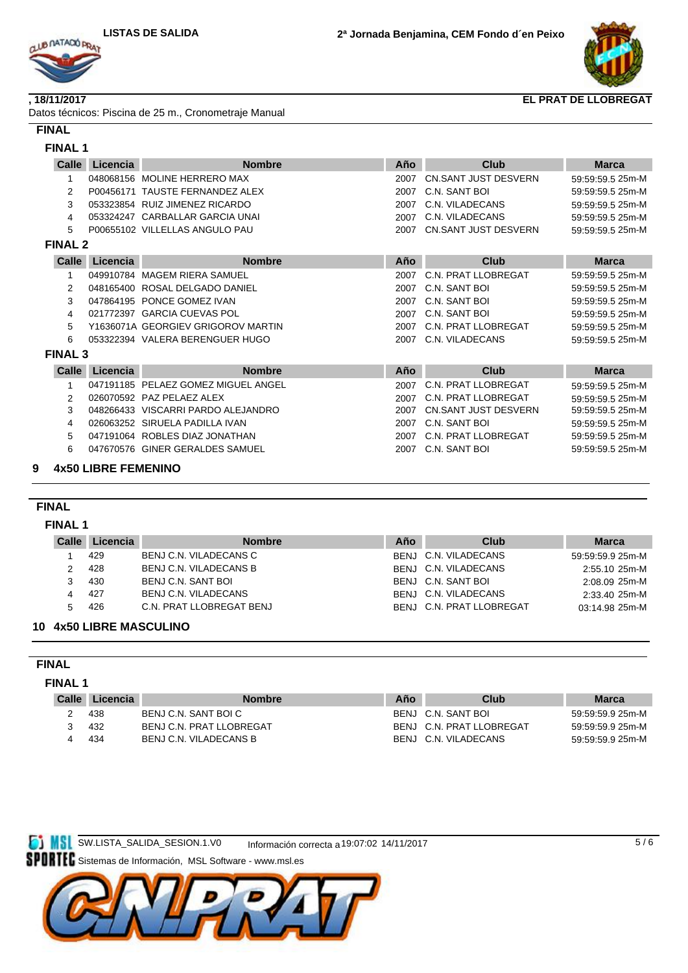



#### **, 18/11/2017**

| Datos técnicos: Piscina de 25 m., Cronometraje Manual |  |
|-------------------------------------------------------|--|
|-------------------------------------------------------|--|

# **FINAL**

| Calle          | Licencia       | <b>Nombre</b>                       | Año  | <b>Club</b>                 | <b>Marca</b>     |
|----------------|----------------|-------------------------------------|------|-----------------------------|------------------|
| $\mathbf 1$    |                | 048068156 MOLINE HERRERO MAX        | 2007 | CN.SANT JUST DESVERN        | 59:59:59.5 25m-M |
| 2              |                | P00456171 TAUSTE FERNANDEZ ALEX     | 2007 | C.N. SANT BOI               | 59:59:59.5 25m-M |
| 3              |                | 053323854 RUIZ JIMENEZ RICARDO      | 2007 | C.N. VILADECANS             | 59:59:59.5 25m-M |
| 4              |                | 053324247 CARBALLAR GARCIA UNAI     | 2007 | C.N. VILADECANS             | 59:59:59.5 25m-M |
| 5              |                | P00655102 VILLELLAS ANGULO PAU      | 2007 | CN.SANT JUST DESVERN        | 59:59:59.5 25m-M |
| <b>FINAL 2</b> |                |                                     |      |                             |                  |
|                | Calle Licencia | <b>Nombre</b>                       | Año  | Club                        | <b>Marca</b>     |
| 1              |                | 049910784 MAGEM RIERA SAMUEL        | 2007 | <b>C.N. PRAT LLOBREGAT</b>  | 59:59:59.5 25m-M |
| 2              |                | 048165400 ROSAL DELGADO DANIEL      | 2007 | C.N. SANT BOI               | 59:59:59.5 25m-M |
| 3              |                | 047864195 PONCE GOMEZ IVAN          | 2007 | C.N. SANT BOI               | 59:59:59.5 25m-M |
| 4              |                | 021772397 GARCIA CUEVAS POL         | 2007 | C.N. SANT BOI               | 59:59:59.5 25m-M |
| 5              |                | Y1636071A GEORGIEV GRIGOROV MARTIN  | 2007 | C.N. PRAT LLOBREGAT         | 59:59:59.5 25m-M |
| 6              |                | 053322394 VALERA BERENGUER HUGO     | 2007 | C.N. VILADECANS             | 59:59:59.5 25m-M |
| <b>FINAL 3</b> |                |                                     |      |                             |                  |
| <b>Calle</b>   | Licencia       | <b>Nombre</b>                       | Año  | Club                        | <b>Marca</b>     |
| 1              |                | 047191185 PELAEZ GOMEZ MIGUEL ANGEL | 2007 | <b>C.N. PRAT LLOBREGAT</b>  | 59:59:59.5 25m-M |
| $\overline{2}$ |                | 026070592 PAZ PELAEZ ALEX           | 2007 | C.N. PRAT LLOBREGAT         | 59:59:59.5 25m-M |
| 3              |                | 048266433 VISCARRI PARDO ALEJANDRO  | 2007 | <b>CN.SANT JUST DESVERN</b> | 59:59:59.5 25m-M |
| 4              |                | 026063252 SIRUELA PADILLA IVAN      | 2007 | C.N. SANT BOI               | 59:59:59.5 25m-M |
| 5              |                | 047191064 ROBLES DIAZ JONATHAN      | 2007 | C.N. PRAT LLOBREGAT         | 59:59:59.5 25m-M |
| 6              |                | 047670576 GINER GERALDES SAMUEL     | 2007 | C.N. SANT BOI               | 59:59:59.5 25m-M |

# **FINAL**

## **FINAL 1**

| Calle | Licencia | <b>Nombre</b>            | Año | Club                     | <b>Marca</b>     |
|-------|----------|--------------------------|-----|--------------------------|------------------|
|       | 429      | BENJ C.N. VILADECANS C   |     | BENJ C.N. VILADECANS     | 59:59:59.9 25m-M |
|       | 428      | BENJ C.N. VILADECANS B   |     | BENJ C.N. VILADECANS     | 2:55.10 25m-M    |
|       | 430      | BENJ C.N. SANT BOI       |     | BENJ C.N. SANT BOI       | 2:08.09 25m-M    |
| 4     | 427      | BENJ C.N. VILADECANS     |     | BENJ C.N. VILADECANS     | 2:33.40 25m-M    |
| 5.    | 426      | C.N. PRAT LLOBREGAT BENJ |     | BENJ C.N. PRAT LLOBREGAT | 03:14.98 25m-M   |
|       |          |                          |     |                          |                  |

### **10 4x50 LIBRE MASCULINO**

## **FINAL**

#### **FINAL 1**

| BENJ C.N. SANT BOI<br>BENJ C.N. SANT BOI C<br>438<br>59:59:59.9 25m-M<br>BENJ C.N. PRAT LLOBREGAT<br>BENJ C.N. PRAT LLOBREGAT<br>432<br>59:59:59.9 25m-M<br>BENJ C.N. VILADECANS B<br>BENJ C.N. VILADECANS<br>434<br>59:59:59.9 25m-M<br>ᅭ | <b>Calle</b> | Licencia | <b>Nombre</b> | Año | Club | <b>Marca</b> |
|--------------------------------------------------------------------------------------------------------------------------------------------------------------------------------------------------------------------------------------------|--------------|----------|---------------|-----|------|--------------|
|                                                                                                                                                                                                                                            |              |          |               |     |      |              |
|                                                                                                                                                                                                                                            |              |          |               |     |      |              |
|                                                                                                                                                                                                                                            |              |          |               |     |      |              |